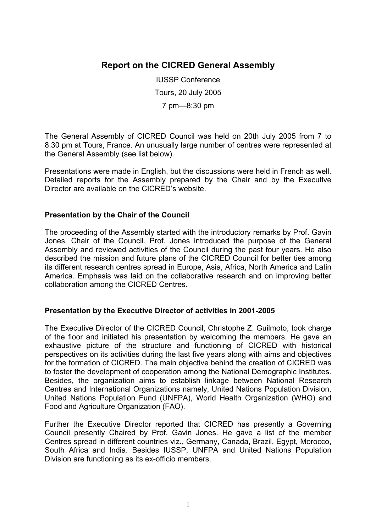### **Report on the CICRED General Assembly**

IUSSP Conference Tours, 20 July 2005 7 pm—8:30 pm

The General Assembly of CICRED Council was held on 20th July 2005 from 7 to 8.30 pm at Tours, France. An unusually large number of centres were represented at the General Assembly (see list below).

Presentations were made in English, but the discussions were held in French as well. Detailed reports for the Assembly prepared by the Chair and by the Executive Director are available on the CICRED's website.

#### **Presentation by the Chair of the Council**

The proceeding of the Assembly started with the introductory remarks by Prof. Gavin Jones, Chair of the Council. Prof. Jones introduced the purpose of the General Assembly and reviewed activities of the Council during the past four years. He also described the mission and future plans of the CICRED Council for better ties among its different research centres spread in Europe, Asia, Africa, North America and Latin America. Emphasis was laid on the collaborative research and on improving better collaboration among the CICRED Centres.

#### **Presentation by the Executive Director of activities in 2001-2005**

The Executive Director of the CICRED Council, Christophe Z. Guilmoto, took charge of the floor and initiated his presentation by welcoming the members. He gave an exhaustive picture of the structure and functioning of CICRED with historical perspectives on its activities during the last five years along with aims and objectives for the formation of CICRED. The main objective behind the creation of CICRED was to foster the development of cooperation among the National Demographic Institutes. Besides, the organization aims to establish linkage between National Research Centres and International Organizations namely, United Nations Population Division, United Nations Population Fund (UNFPA), World Health Organization (WHO) and Food and Agriculture Organization (FAO).

Further the Executive Director reported that CICRED has presently a Governing Council presently Chaired by Prof. Gavin Jones. He gave a list of the member Centres spread in different countries viz., Germany, Canada, Brazil, Egypt, Morocco, South Africa and India. Besides IUSSP, UNFPA and United Nations Population Division are functioning as its ex-officio members.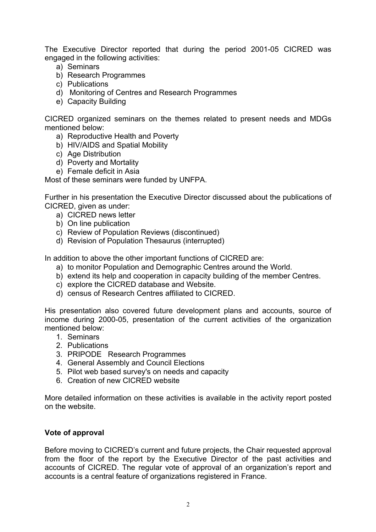The Executive Director reported that during the period 2001-05 CICRED was engaged in the following activities:

- a) Seminars
- b) Research Programmes
- c) Publications
- d) Monitoring of Centres and Research Programmes
- e) Capacity Building

CICRED organized seminars on the themes related to present needs and MDGs mentioned below:

- a) Reproductive Health and Poverty
- b) HIV/AIDS and Spatial Mobility
- c) Age Distribution
- d) Poverty and Mortality
- e) Female deficit in Asia

Most of these seminars were funded by UNFPA.

Further in his presentation the Executive Director discussed about the publications of CICRED, given as under:

- a) CICRED news letter
- b) On line publication
- c) Review of Population Reviews (discontinued)
- d) Revision of Population Thesaurus (interrupted)

In addition to above the other important functions of CICRED are:

- a) to monitor Population and Demographic Centres around the World.
- b) extend its help and cooperation in capacity building of the member Centres.
- c) explore the CICRED database and Website.
- d) census of Research Centres affiliated to CICRED.

His presentation also covered future development plans and accounts, source of income during 2000-05, presentation of the current activities of the organization mentioned below:

- 1. Seminars
- 2. Publications
- 3. PRIPODE Research Programmes
- 4. General Assembly and Council Elections
- 5. Pilot web based survey's on needs and capacity
- 6. Creation of new CICRED website

More detailed information on these activities is available in the activity report posted on the website.

#### **Vote of approval**

Before moving to CICRED's current and future projects, the Chair requested approval from the floor of the report by the Executive Director of the past activities and accounts of CICRED. The regular vote of approval of an organization's report and accounts is a central feature of organizations registered in France.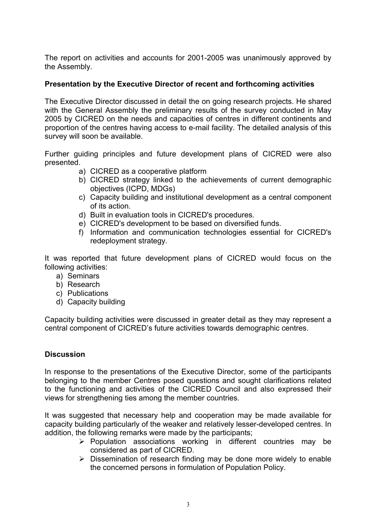The report on activities and accounts for 2001-2005 was unanimously approved by the Assembly.

#### **Presentation by the Executive Director of recent and forthcoming activities**

The Executive Director discussed in detail the on going research projects. He shared with the General Assembly the preliminary results of the survey conducted in May 2005 by CICRED on the needs and capacities of centres in different continents and proportion of the centres having access to e-mail facility. The detailed analysis of this survey will soon be available.

Further guiding principles and future development plans of CICRED were also presented.

- a) CICRED as a cooperative platform
- b) CICRED strategy linked to the achievements of current demographic objectives (ICPD, MDGs)
- c) Capacity building and institutional development as a central component of its action.
- d) Built in evaluation tools in CICRED's procedures.
- e) CICRED's development to be based on diversified funds.
- f) Information and communication technologies essential for CICRED's redeployment strategy.

It was reported that future development plans of CICRED would focus on the following activities:

- a) Seminars
- b) Research
- c) Publications
- d) Capacity building

Capacity building activities were discussed in greater detail as they may represent a central component of CICRED's future activities towards demographic centres.

#### **Discussion**

In response to the presentations of the Executive Director, some of the participants belonging to the member Centres posed questions and sought clarifications related to the functioning and activities of the CICRED Council and also expressed their views for strengthening ties among the member countries.

It was suggested that necessary help and cooperation may be made available for capacity building particularly of the weaker and relatively lesser-developed centres. In addition, the following remarks were made by the participants;

- ¾ Population associations working in different countries may be considered as part of CICRED.
- $\triangleright$  Dissemination of research finding may be done more widely to enable the concerned persons in formulation of Population Policy.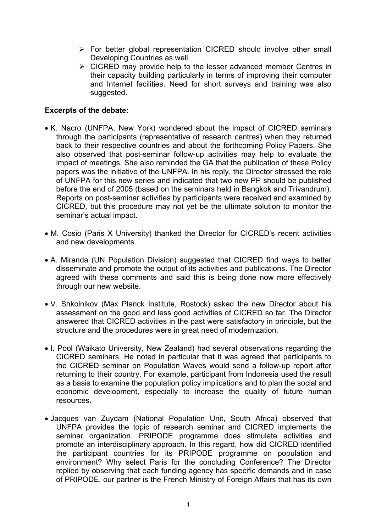- $\triangleright$  For better global representation CICRED should involve other small Developing Countries as well.
- $\triangleright$  CICRED may provide help to the lesser advanced member Centres in their capacity building particularly in terms of improving their computer and Internet facilities. Need for short surveys and training was also suggested.

#### **Excerpts of the debate:**

- K. Nacro (UNFPA, New York) wondered about the impact of CICRED seminars through the participants (representative of research centres) when they returned back to their respective countries and about the forthcoming Policy Papers. She also observed that post-seminar follow-up activities may help to evaluate the impact of meetings. She also reminded the GA that the publication of these Policy papers was the initiative of the UNFPA. In his reply, the Director stressed the role of UNFPA for this new series and indicated that two new PP should be published before the end of 2005 (based on the seminars held in Bangkok and Trivandrum). Reports on post-seminar activities by participants were received and examined by CICRED, but this procedure may not yet be the ultimate solution to monitor the seminar's actual impact.
- M. Cosio (Paris X University) thanked the Director for CICRED's recent activities and new developments.
- A. Miranda (UN Population Division) suggested that CICRED find ways to better disseminate and promote the output of its activities and publications. The Director agreed with these comments and said this is being done now more effectively through our new website.
- V. Shkolnikov (Max Planck Institute, Rostock) asked the new Director about his assessment on the good and less good activities of CICRED so far. The Director answered that CICRED activities in the past were satisfactory in principle, but the structure and the procedures were in great need of modernization.
- I. Pool (Waikato University, New Zealand) had several observations regarding the CICRED seminars. He noted in particular that it was agreed that participants to the CICRED seminar on Population Waves would send a follow-up report after returning to their country. For example, participant from Indonesia used the result as a basis to examine the population policy implications and to plan the social and economic development, especially to increase the quality of future human resources.
- Jacques van Zuydam (National Population Unit, South Africa) observed that UNFPA provides the topic of research seminar and CICRED implements the seminar organization. PRIPODE programme does stimulate activities and promote an interdisciplinary approach. In this regard, how did CICRED identified the participant countries for its PRIPODE programme on population and environment? Why select Paris for the concluding Conference? The Director replied by observing that each funding agency has specific demands and in case of PRIPODE, our partner is the French Ministry of Foreign Affairs that has its own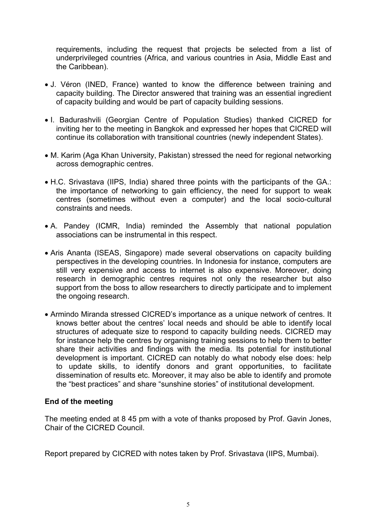requirements, including the request that projects be selected from a list of underprivileged countries (Africa, and various countries in Asia, Middle East and the Caribbean).

- J. Véron (INED, France) wanted to know the difference between training and capacity building. The Director answered that training was an essential ingredient of capacity building and would be part of capacity building sessions.
- I. Badurashvili (Georgian Centre of Population Studies) thanked CICRED for inviting her to the meeting in Bangkok and expressed her hopes that CICRED will continue its collaboration with transitional countries (newly independent States).
- M. Karim (Aga Khan University, Pakistan) stressed the need for regional networking across demographic centres.
- H.C. Srivastava (IIPS, India) shared three points with the participants of the GA.: the importance of networking to gain efficiency, the need for support to weak centres (sometimes without even a computer) and the local socio-cultural constraints and needs.
- A. Pandey (ICMR, India) reminded the Assembly that national population associations can be instrumental in this respect.
- Aris Ananta (ISEAS, Singapore) made several observations on capacity building perspectives in the developing countries. In Indonesia for instance, computers are still very expensive and access to internet is also expensive. Moreover, doing research in demographic centres requires not only the researcher but also support from the boss to allow researchers to directly participate and to implement the ongoing research.
- Armindo Miranda stressed CICRED's importance as a unique network of centres. It knows better about the centres' local needs and should be able to identify local structures of adequate size to respond to capacity building needs. CICRED may for instance help the centres by organising training sessions to help them to better share their activities and findings with the media. Its potential for institutional development is important. CICRED can notably do what nobody else does: help to update skills, to identify donors and grant opportunities, to facilitate dissemination of results etc. Moreover, it may also be able to identify and promote the "best practices" and share "sunshine stories" of institutional development.

#### **End of the meeting**

The meeting ended at 8 45 pm with a vote of thanks proposed by Prof. Gavin Jones, Chair of the CICRED Council.

Report prepared by CICRED with notes taken by Prof. Srivastava (IIPS, Mumbai).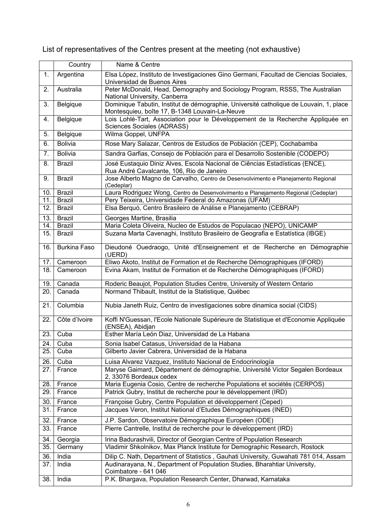# List of representatives of the Centres present at the meeting (not exhaustive)

|            | Country                        | Name & Centre                                                                                                                                           |
|------------|--------------------------------|---------------------------------------------------------------------------------------------------------------------------------------------------------|
| 1.         | Argentina                      | Elsa López, Instituto de Investigaciones Gino Germani, Facultad de Ciencias Sociales,<br>Universidad de Buenos Aires                                    |
| 2.         | Australia                      | Peter McDonald, Head, Demography and Sociology Program, RSSS, The Australian<br>National University, Canberra                                           |
| 3.         | Belgique                       | Dominique Tabutin, Institut de démographie, Université catholique de Louvain, 1, place<br>Montesquieu, boîte 17, B-1348 Louvain-La-Neuve                |
| 4.         | Belgique                       | Lois Lohlé-Tart, Association pour le Développement de la Recherche Appliquée en<br>Sciences Sociales (ADRASS)                                           |
| 5.         | Belgique                       | Wilma Goppel, UNFPA                                                                                                                                     |
| 6.         | <b>Bolivia</b>                 | Rose Mary Salazar, Centros de Estudios de Población (CEP), Cochabamba                                                                                   |
| 7.         | Bolivia                        | Sandra Garfias, Consejo de Población para el Desarrollo Sostenible (CODEPO)                                                                             |
| 8.         | <b>Brazil</b>                  | José Eustaquio Diniz Alves, Escola Nacional de Ciências Estadísticas (ENCE),<br>Rua André Cavalcante, 106, Rio de Janeiro                               |
| 9.         | <b>Brazil</b>                  | Jose Alberto Magno de Carvalho, Centro de Desenvolvimento e Planejamento Regional<br>(Cedeplar)                                                         |
| 10.        | <b>Brazil</b>                  | Laura Rodriguez Wong, Centro de Desenvolvimento e Planejamento Regional (Cedeplar)                                                                      |
| 11.        | <b>Brazil</b>                  | Pery Teixeira, Universidade Federal do Amazonas (UFAM)                                                                                                  |
| 12.        | <b>Brazil</b>                  | Elsa Berquó, Centro Brasileiro de Análise e Planejamento (CEBRAP)                                                                                       |
| 13.        | <b>Brazil</b>                  | Georges Martine, Brasilia                                                                                                                               |
| 14.<br>15. | <b>Brazil</b><br><b>Brazil</b> | Maria Coleta Oliveira, Nucleo de Estudos de Populacao (NEPO), UNICAMP<br>Suzana Marta Cavenaghi, Instituto Brasileiro de Geografia e Estatística (IBGE) |
|            |                                |                                                                                                                                                         |
| 16.        | <b>Burkina Faso</b>            | Dieudoné Ouedraogo, Unité d'Enseignement et de Recherche en Démographie<br>(UERD)                                                                       |
| 17.        | Cameroon                       | Eliwo Akoto, Institut de Formation et de Recherche Démographiques (IFORD)                                                                               |
| 18.        | Cameroon                       | Evina Akam, Institut de Formation et de Recherche Démographiques (IFORD)                                                                                |
| 19.        | Canada                         | Roderic Beaujot, Population Studies Centre, University of Western Ontario                                                                               |
| 20.        | Canada                         | Normand Thibault, Institut de la Statistique, Québec                                                                                                    |
| 21.        | Columbia                       | Nubia Janeth Ruiz, Centro de investigaciones sobre dinamica social (CIDS)                                                                               |
| 22.        | Côte d'Ivoire                  | Koffi N'Guessan, l'Ecole Nationale Supérieure de Statistique et d'Economie Appliquée<br>(ENSEA), Abidjan                                                |
| 23.        | Cuba                           | Esther María León Diaz, Universidad de La Habana                                                                                                        |
| 24.        | Cuba                           | Sonia Isabel Catasus, Universidad de la Habana                                                                                                          |
| 25.        | Cuba                           | Gilberto Javier Cabrera, Universidad de la Habana                                                                                                       |
| 26.        | Cuba                           | Luisa Alvarez Vazquez, Instituto Nacional de Endocrinología                                                                                             |
| 27.        | France                         | Maryse Gaimard, Département de démographie, Université Victor Segalen Bordeaux<br>2, 33076 Bordeaux cedex                                               |
| 28.        | France                         | Maria Eugenia Cosio, Centre de recherche Populations et sociétés (CERPOS)                                                                               |
| 29.        | France                         | Patrick Gubry, Institut de recherche pour le développement (IRD)                                                                                        |
| 30.        | France                         | Françoise Gubry, Centre Population et développement (Ceped)                                                                                             |
| 31.        | France                         | Jacques Veron, Institut National d'Etudes Démographiques (INED)                                                                                         |
| 32.        | France                         | J.P. Sardon, Observatoire Démographique Européen (ODE)                                                                                                  |
| 33.        | France                         | Pierre Cantrelle, Institut de recherche pour le développement (IRD)                                                                                     |
| 34.        | Georgia                        | Irina Badurashvili, Director of Georgian Centre of Population Research                                                                                  |
| 35.        | Germany                        | Vladimir Shkolnikov, Max Planck Institute for Demographic Research, Rostock                                                                             |
| 36.        | India                          | Dilip C. Nath, Department of Statistics, Gauhati University, Guwahati 781 014, Assam                                                                    |
| 37.        | India                          | Audinarayana, N., Department of Population Studies, Bharahtiar University,<br>Coimbatore - 641 046                                                      |
| 38.        | India                          | P.K. Bhargava, Population Research Center, Dharwad, Karnataka                                                                                           |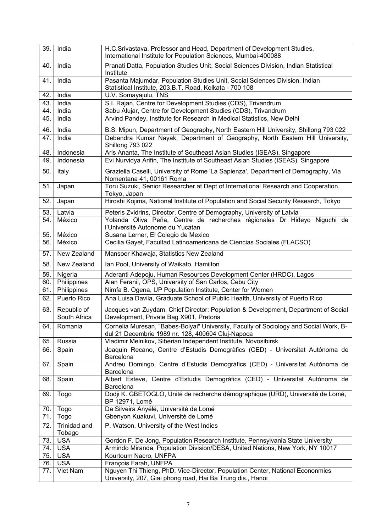| 39. | India                       | H.C.Srivastava, Professor and Head, Department of Development Studies,<br>International Institute for Population Sciences, Mumbai-400088    |
|-----|-----------------------------|---------------------------------------------------------------------------------------------------------------------------------------------|
| 40. | India                       | Pranati Datta, Population Studies Unit, Social Sciences Division, Indian Statistical<br>Institute                                           |
| 41. | India                       | Pasanta Majumdar, Population Studies Unit, Social Sciences Division, Indian<br>Statistical Institute, 203, B.T. Road, Kolkata - 700 108     |
| 42. | India                       | U.V. Somayajulu, TNS                                                                                                                        |
| 43. | India                       | S.I. Rajan, Centre for Development Studies (CDS), Trivandrum                                                                                |
| 44. | India                       | Sabu Alujar, Centre for Development Studies (CDS), Trivandrum                                                                               |
| 45. | India                       | Arvind Pandey, Institute for Research in Medical Statistics, New Delhi                                                                      |
| 46. | India                       | B.S. Mipun, Department of Geography, North Eastern Hill University, Shillong 793 022                                                        |
| 47. | India                       | Debendra Kumar Nayak, Department of Geography, North Eastern Hill University,<br><b>Shillong 793 022</b>                                    |
| 48. | Indonesia                   | Aris Ananta, The Institute of Southeast Asian Studies (ISEAS), Singapore                                                                    |
| 49. | Indonesia                   | Evi Nurvidya Arifin, The Institute of Southeast Asian Studies (ISEAS), Singapore                                                            |
| 50. | Italy                       | Graziella Caselli, University of Rome 'La Sapienza', Department of Demography, Via<br>Nomentana 41, 00161 Roma                              |
| 51. | Japan                       | Toru Suzuki, Senior Researcher at Dept of International Research and Cooperation,<br>Tokyo, Japan                                           |
| 52. | Japan                       | Hiroshi Kojima, National Institute of Population and Social Security Research, Tokyo                                                        |
| 53. | Latvia                      | Peteris Zvidrins, Director, Centre of Demography, University of Latvia                                                                      |
| 54. | México                      | Yolanda Oliva Peña, Centre de recherches régionales Dr Hideyo Niguchi de<br>l'Université Autonome du Yucatan                                |
| 55. | México                      | Susana Lerner, El Colegio de Mexico                                                                                                         |
| 56. | México                      | Cecilia Gayet, Facultad Latinoamericana de Ciencias Sociales (FLACSO)                                                                       |
| 57. | New Zealand                 | Mansoor Khawaja, Statistics New Zealand                                                                                                     |
| 58. | New Zealand                 | Ian Pool, University of Waikato, Hamilton                                                                                                   |
| 59. | Nigeria                     | Aderanti Adepoju, Human Resources Development Center (HRDC), Lagos                                                                          |
| 60. | Philippines                 | Alan Feranil, OPS, University of San Carlos, Cebu City                                                                                      |
| 61. | Philippines                 | Nimfa B. Ogena, UP Population Institute, Center for Women                                                                                   |
| 62. | Puerto Rico                 | Ana Luisa Davila, Graduate School of Public Health, University of Puerto Rico                                                               |
| 63. | Republic of<br>South Africa | Jacques van Zuydam, Chief Director: Population & Development, Department of Social<br>Development, Private Bag X901, Pretoria               |
| 64. | Romania                     | Cornelia Muresan, "Babes-Bolyai" University, Faculty of Sociology and Social Work, B-<br>dul 21 Decembrie 1989 nr. 128, 400604 Cluj-Napoca  |
| 65. | Russia                      | Vladimir Melnikov, Siberian Independent Institute, Novosibirsk                                                                              |
| 66. | Spain                       | Joaquin Recano, Centre d'Estudis Demogràfics (CED) - Universitat Autónoma de<br>Barcelona                                                   |
| 67. | Spain                       | Andreu Domingo, Centre d'Estudis Demogràfics (CED) - Universitat Autónoma de<br>Barcelona                                                   |
| 68. | Spain                       | Albert Esteve, Centre d'Estudis Demogràfics (CED) - Universitat Autónoma de<br>Barcelona                                                    |
| 69. | Togo                        | Dodji K. GBETOGLO, Unité de recherche démographique (URD), Université de Lomé,<br>BP 12971, Lomé                                            |
| 70. | Togo                        | Da Silveira Anyélé, Université de Lomé                                                                                                      |
| 71. | Togo                        | Gbenyon Kuakuvi, Université de Lomé                                                                                                         |
| 72. | Trinidad and<br>Tobago      | P. Watson, University of the West Indies                                                                                                    |
| 73. | <b>USA</b>                  | Gordon F. De Jong, Population Research Institute, Pennsylvania State University                                                             |
| 74. | <b>USA</b>                  | Armindo Miranda, Population Division/DESA, United Nations, New York, NY 10017                                                               |
| 75. | <b>USA</b>                  | Kourtoum Nacro, UNFPA                                                                                                                       |
| 76. | <b>USA</b>                  | François Farah, UNFPA                                                                                                                       |
| 77. | Viet Nam                    | Nguyen Thi Thieng, PhD, Vice-Director, Population Center, National Econonmics<br>University, 207, Giai phong road, Hai Ba Trung dis., Hanoi |